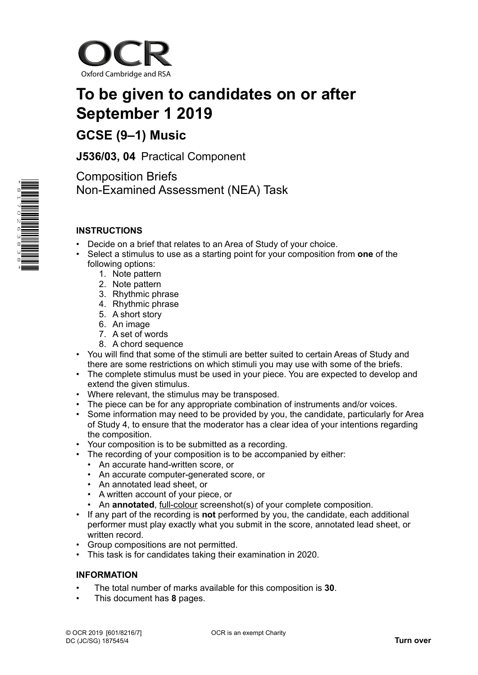

# **To be given to candidates on or after September 1 2019**

## **GCSE (9–1) Music**

**J536/03, 04** Practical Component

Composition Briefs Non-Examined Assessment (NEA) Task

#### **INSTRUCTIONS**

- Decide on a brief that relates to an Area of Study of your choice.
- Select a stimulus to use as a starting point for your composition from **one** of the following options:
	- 1. Note pattern
	- 2. Note pattern
	- 3. Rhythmic phrase
	- 4. Rhythmic phrase
	- 5. A short story
	- 6. An image
	- 7. A set of words
	- 8. A chord sequence
- You will find that some of the stimuli are better suited to certain Areas of Study and there are some restrictions on which stimuli you may use with some of the briefs.
- The complete stimulus must be used in your piece. You are expected to develop and extend the given stimulus.
- Where relevant, the stimulus may be transposed.
- The piece can be for any appropriate combination of instruments and/or voices.
- Some information may need to be provided by you, the candidate, particularly for Area of Study 4, to ensure that the moderator has a clear idea of your intentions regarding the composition.
- Your composition is to be submitted as a recording.
- The recording of your composition is to be accompanied by either:
	- An accurate hand-written score, or
	- An accurate computer-generated score, or
	- An annotated lead sheet, or
	- A written account of your piece, or
	- An **annotated**, full-colour screenshot(s) of your complete composition.
- If any part of the recording is **not** performed by you, the candidate, each additional performer must play exactly what you submit in the score, annotated lead sheet, or written record.
- Group compositions are not permitted.
- This task is for candidates taking their examination in 2020.

#### **INFORMATION**

- The total number of marks available for this composition is **30**.
- This document has **8** pages.

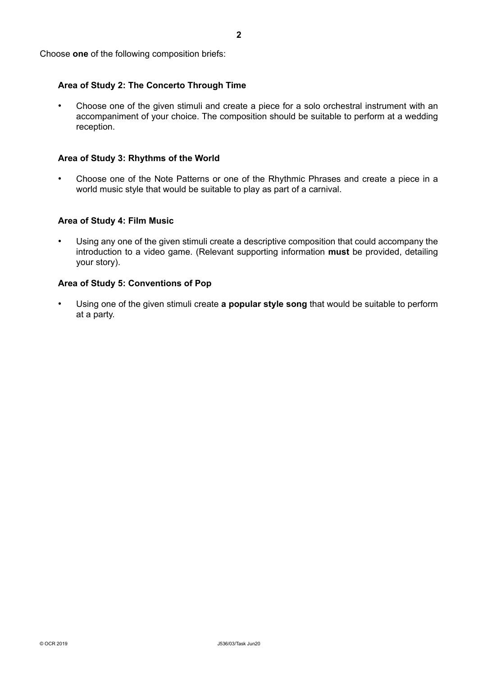#### **Area of Study 2: The Concerto Through Time**

• Choose one of the given stimuli and create a piece for a solo orchestral instrument with an accompaniment of your choice. The composition should be suitable to perform at a wedding reception.

#### **Area of Study 3: Rhythms of the World**

• Choose one of the Note Patterns or one of the Rhythmic Phrases and create a piece in a world music style that would be suitable to play as part of a carnival.

#### **Area of Study 4: Film Music**

• Using any one of the given stimuli create a descriptive composition that could accompany the introduction to a video game. (Relevant supporting information **must** be provided, detailing your story).

#### **Area of Study 5: Conventions of Pop**

• Using one of the given stimuli create **a popular style song** that would be suitable to perform at a party.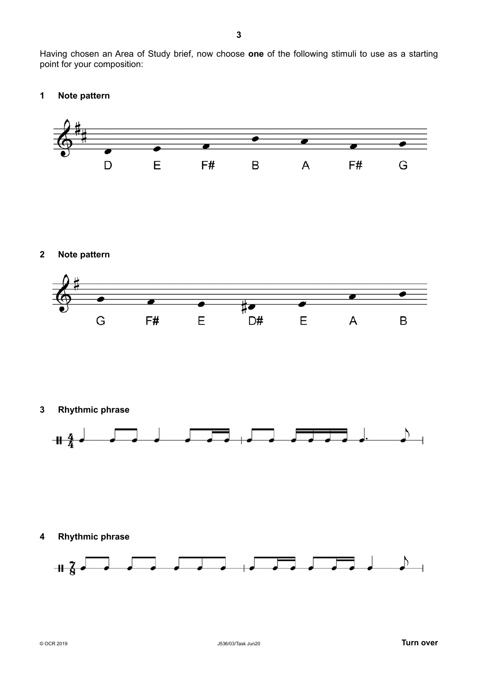Having chosen an Area of Study brief, now choose **one** of the following stimuli to use as a starting point for your composition:

#### **1 Note pattern**



#### **2 Note pattern**



#### **3 Rhythmic phrase**



**4 Rhythmic phrase**

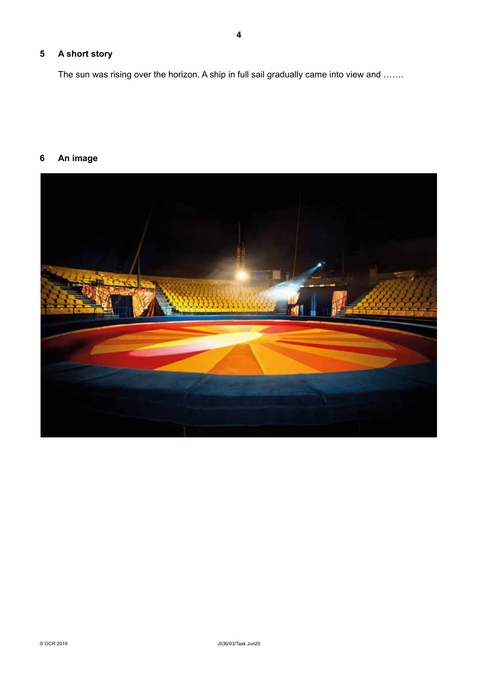## **5 A short story**

The sun was rising over the horizon. A ship in full sail gradually came into view and .......

## **6 An image**

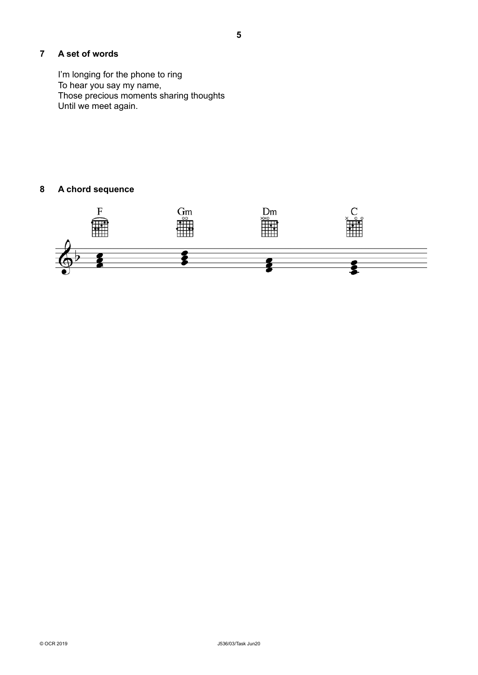### **7 A set of words**

I'm longing for the phone to ring To hear you say my name, Those precious moments sharing thoughts Until we meet again.

#### **8 A chord sequence**

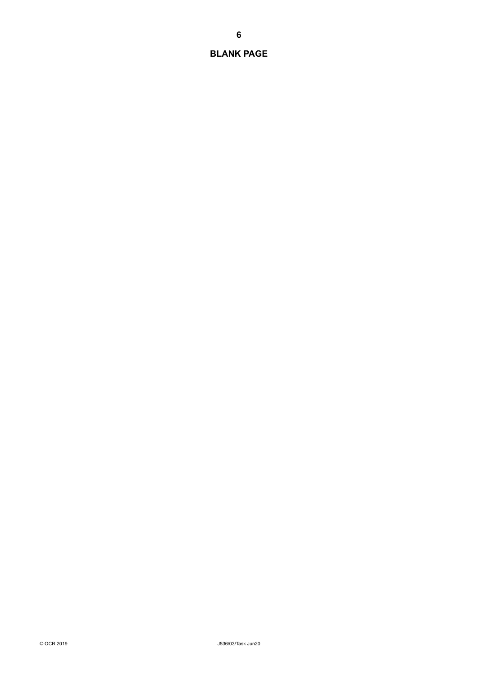#### **BLANK PAGE**

**6**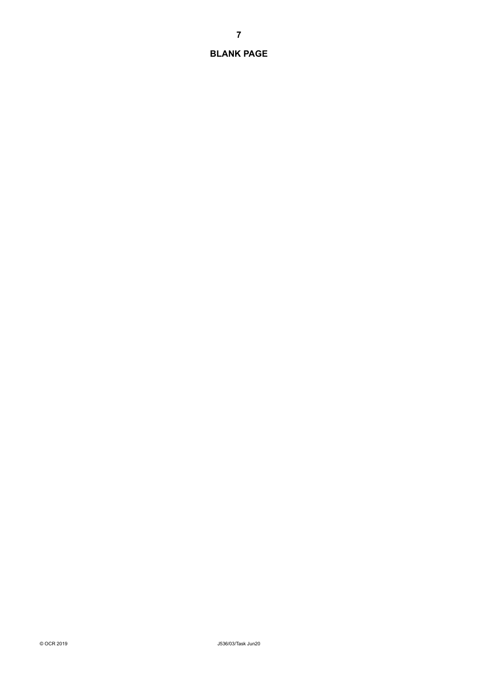#### **BLANK PAGE**